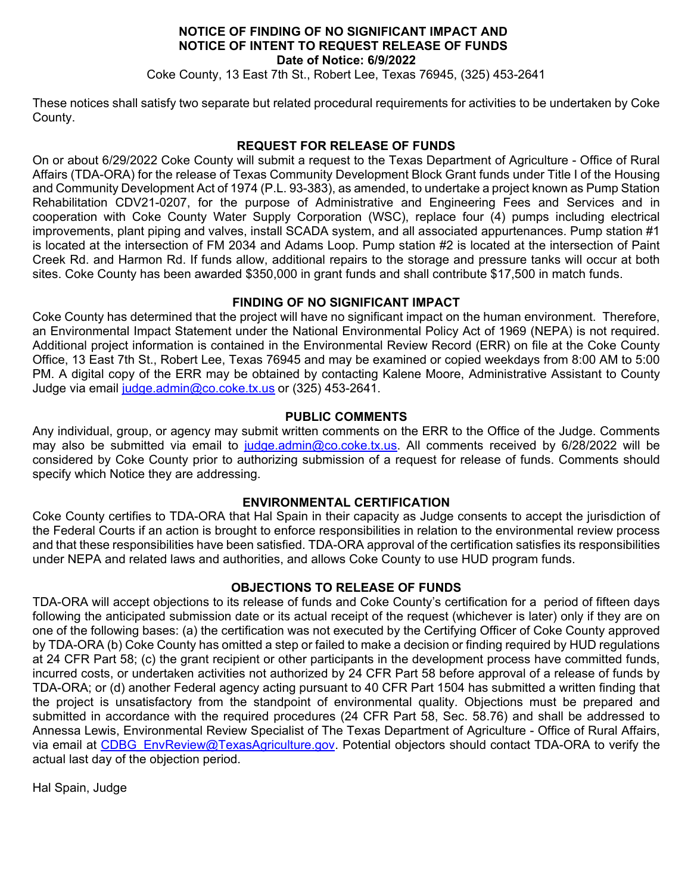## **NOTICE OF FINDING OF NO SIGNIFICANT IMPACT AND NOTICE OF INTENT TO REQUEST RELEASE OF FUNDS Date of Notice: 6/9/2022**

Coke County, 13 East 7th St., Robert Lee, Texas 76945, (325) 453-2641

These notices shall satisfy two separate but related procedural requirements for activities to be undertaken by Coke County.

## **REQUEST FOR RELEASE OF FUNDS**

On or about 6/29/2022 Coke County will submit a request to the Texas Department of Agriculture - Office of Rural Affairs (TDA-ORA) for the release of Texas Community Development Block Grant funds under Title I of the Housing and Community Development Act of 1974 (P.L. 93-383), as amended, to undertake a project known as Pump Station Rehabilitation CDV21-0207, for the purpose of Administrative and Engineering Fees and Services and in cooperation with Coke County Water Supply Corporation (WSC), replace four (4) pumps including electrical improvements, plant piping and valves, install SCADA system, and all associated appurtenances. Pump station #1 is located at the intersection of FM 2034 and Adams Loop. Pump station #2 is located at the intersection of Paint Creek Rd. and Harmon Rd. If funds allow, additional repairs to the storage and pressure tanks will occur at both sites. Coke County has been awarded \$350,000 in grant funds and shall contribute \$17,500 in match funds.

## **FINDING OF NO SIGNIFICANT IMPACT**

Coke County has determined that the project will have no significant impact on the human environment. Therefore, an Environmental Impact Statement under the National Environmental Policy Act of 1969 (NEPA) is not required. Additional project information is contained in the Environmental Review Record (ERR) on file at the Coke County Office, 13 East 7th St., Robert Lee, Texas 76945 and may be examined or copied weekdays from 8:00 AM to 5:00 PM. A digital copy of the ERR may be obtained by contacting Kalene Moore, Administrative Assistant to County Judge via email [judge.admin@co.coke.tx.us](mailto:judge.admin@co.coke.tx.us) or (325) 453-2641.

## **PUBLIC COMMENTS**

Any individual, group, or agency may submit written comments on the ERR to the Office of the Judge. Comments may also be submitted via email to [judge.admin@co.coke.tx.us.](mailto:judge.admin@co.coke.tx.us) All comments received by 6/28/2022 will be considered by Coke County prior to authorizing submission of a request for release of funds. Comments should specify which Notice they are addressing.

# **ENVIRONMENTAL CERTIFICATION**

Coke County certifies to TDA-ORA that Hal Spain in their capacity as Judge consents to accept the jurisdiction of the Federal Courts if an action is brought to enforce responsibilities in relation to the environmental review process and that these responsibilities have been satisfied. TDA-ORA approval of the certification satisfies its responsibilities under NEPA and related laws and authorities, and allows Coke County to use HUD program funds.

# **OBJECTIONS TO RELEASE OF FUNDS**

TDA-ORA will accept objections to its release of funds and Coke County's certification for a period of fifteen days following the anticipated submission date or its actual receipt of the request (whichever is later) only if they are on one of the following bases: (a) the certification was not executed by the Certifying Officer of Coke County approved by TDA-ORA (b) Coke County has omitted a step or failed to make a decision or finding required by HUD regulations at 24 CFR Part 58; (c) the grant recipient or other participants in the development process have committed funds, incurred costs, or undertaken activities not authorized by 24 CFR Part 58 before approval of a release of funds by TDA-ORA; or (d) another Federal agency acting pursuant to 40 CFR Part 1504 has submitted a written finding that the project is unsatisfactory from the standpoint of environmental quality. Objections must be prepared and submitted in accordance with the required procedures (24 CFR Part 58, Sec. 58.76) and shall be addressed to Annessa Lewis, Environmental Review Specialist of The Texas Department of Agriculture - Office of Rural Affairs, via email at [CDBG\\_EnvReview@TexasAgriculture.gov.](mailto:CDBG_EnvReview@TexasAgriculture.gov) Potential objectors should contact TDA-ORA to verify the actual last day of the objection period.

Hal Spain, Judge